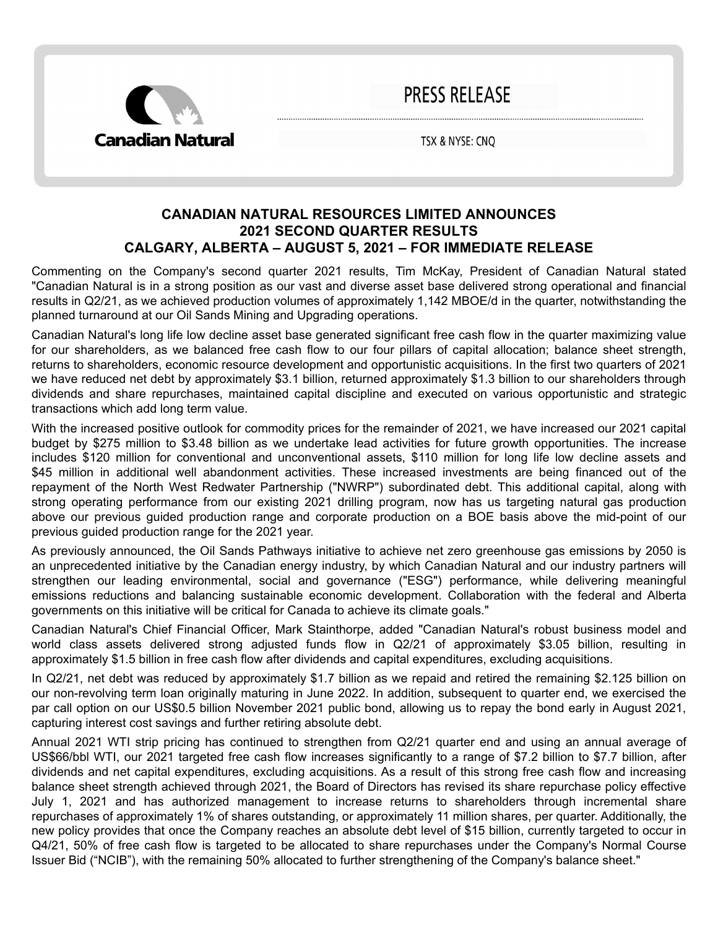

**PRESS RELEASE** 

TSX & NYSE: CNQ

# **CANADIAN NATURAL RESOURCES LIMITED ANNOUNCES 2021 SECOND QUARTER RESULTS CALGARY, ALBERTA – AUGUST 5, 2021 – FOR IMMEDIATE RELEASE**

Commenting on the Company's second quarter 2021 results, Tim McKay, President of Canadian Natural stated "Canadian Natural is in a strong position as our vast and diverse asset base delivered strong operational and financial results in Q2/21, as we achieved production volumes of approximately 1,142 MBOE/d in the quarter, notwithstanding the planned turnaround at our Oil Sands Mining and Upgrading operations.

Canadian Natural's long life low decline asset base generated significant free cash flow in the quarter maximizing value for our shareholders, as we balanced free cash flow to our four pillars of capital allocation; balance sheet strength, returns to shareholders, economic resource development and opportunistic acquisitions. In the first two quarters of 2021 we have reduced net debt by approximately \$3.1 billion, returned approximately \$1.3 billion to our shareholders through dividends and share repurchases, maintained capital discipline and executed on various opportunistic and strategic transactions which add long term value.

With the increased positive outlook for commodity prices for the remainder of 2021, we have increased our 2021 capital budget by \$275 million to \$3.48 billion as we undertake lead activities for future growth opportunities. The increase includes \$120 million for conventional and unconventional assets, \$110 million for long life low decline assets and \$45 million in additional well abandonment activities. These increased investments are being financed out of the repayment of the North West Redwater Partnership ("NWRP") subordinated debt. This additional capital, along with strong operating performance from our existing 2021 drilling program, now has us targeting natural gas production above our previous guided production range and corporate production on a BOE basis above the mid-point of our previous guided production range for the 2021 year.

As previously announced, the Oil Sands Pathways initiative to achieve net zero greenhouse gas emissions by 2050 is an unprecedented initiative by the Canadian energy industry, by which Canadian Natural and our industry partners will strengthen our leading environmental, social and governance ("ESG") performance, while delivering meaningful emissions reductions and balancing sustainable economic development. Collaboration with the federal and Alberta governments on this initiative will be critical for Canada to achieve its climate goals."

Canadian Natural's Chief Financial Officer, Mark Stainthorpe, added "Canadian Natural's robust business model and world class assets delivered strong adjusted funds flow in Q2/21 of approximately \$3.05 billion, resulting in approximately \$1.5 billion in free cash flow after dividends and capital expenditures, excluding acquisitions.

In Q2/21, net debt was reduced by approximately \$1.7 billion as we repaid and retired the remaining \$2.125 billion on our non-revolving term loan originally maturing in June 2022. In addition, subsequent to quarter end, we exercised the par call option on our US\$0.5 billion November 2021 public bond, allowing us to repay the bond early in August 2021, capturing interest cost savings and further retiring absolute debt.

Annual 2021 WTI strip pricing has continued to strengthen from Q2/21 quarter end and using an annual average of US\$66/bbl WTI, our 2021 targeted free cash flow increases significantly to a range of \$7.2 billion to \$7.7 billion, after dividends and net capital expenditures, excluding acquisitions. As a result of this strong free cash flow and increasing balance sheet strength achieved through 2021, the Board of Directors has revised its share repurchase policy effective July 1, 2021 and has authorized management to increase returns to shareholders through incremental share repurchases of approximately 1% of shares outstanding, or approximately 11 million shares, per quarter. Additionally, the new policy provides that once the Company reaches an absolute debt level of \$15 billion, currently targeted to occur in Q4/21, 50% of free cash flow is targeted to be allocated to share repurchases under the Company's Normal Course Issuer Bid ("NCIB"), with the remaining 50% allocated to further strengthening of the Company's balance sheet."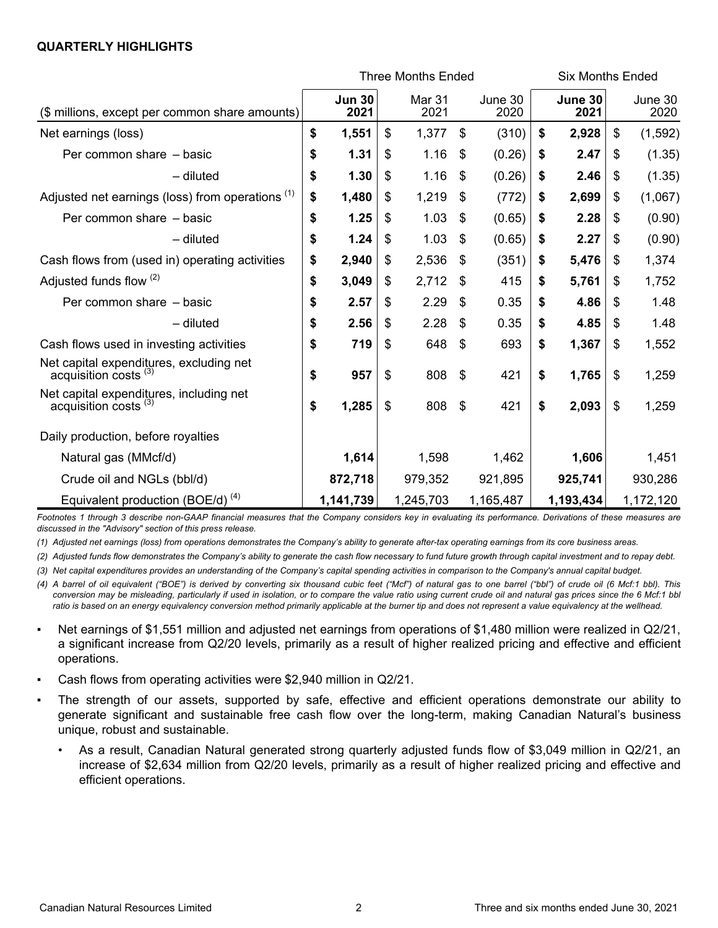### **QUARTERLY HIGHLIGHTS**

|                                                                             | <b>Three Months Ended</b> |                       |    |                |    |                 |    | <b>Six Months Ended</b> |    |                 |
|-----------------------------------------------------------------------------|---------------------------|-----------------------|----|----------------|----|-----------------|----|-------------------------|----|-----------------|
| (\$ millions, except per common share amounts)                              |                           | <b>Jun 30</b><br>2021 |    | Mar 31<br>2021 |    | June 30<br>2020 |    | June 30<br>2021         |    | June 30<br>2020 |
| Net earnings (loss)                                                         | \$                        | 1,551                 | \$ | 1,377          | \$ | (310)           | \$ | 2,928                   | \$ | (1, 592)        |
| Per common share - basic                                                    | \$                        | 1.31                  | \$ | 1.16           | \$ | (0.26)          | \$ | 2.47                    | \$ | (1.35)          |
| $-$ diluted                                                                 | \$                        | 1.30                  | \$ | 1.16           | \$ | (0.26)          | \$ | 2.46                    | \$ | (1.35)          |
| Adjusted net earnings (loss) from operations (1)                            | \$                        | 1,480                 | \$ | 1,219          | \$ | (772)           | \$ | 2,699                   | \$ | (1,067)         |
| Per common share - basic                                                    | \$                        | 1.25                  | \$ | 1.03           | \$ | (0.65)          | \$ | 2.28                    | \$ | (0.90)          |
| $-$ diluted                                                                 | \$                        | 1.24                  | \$ | 1.03           | \$ | (0.65)          | \$ | 2.27                    | \$ | (0.90)          |
| Cash flows from (used in) operating activities                              | \$                        | 2,940                 | \$ | 2,536          | \$ | (351)           | \$ | 5,476                   | \$ | 1,374           |
| Adjusted funds flow (2)                                                     | \$                        | 3,049                 | \$ | 2,712          | \$ | 415             | \$ | 5,761                   | \$ | 1,752           |
| Per common share - basic                                                    | \$                        | 2.57                  | \$ | 2.29           | \$ | 0.35            | \$ | 4.86                    | \$ | 1.48            |
| - diluted                                                                   | \$                        | 2.56                  | \$ | 2.28           | \$ | 0.35            | \$ | 4.85                    | \$ | 1.48            |
| Cash flows used in investing activities                                     | \$                        | 719                   | \$ | 648            | \$ | 693             | \$ | 1,367                   | \$ | 1,552           |
| Net capital expenditures, excluding net<br>acquisition costs <sup>(3)</sup> | \$                        | 957                   | \$ | 808            | \$ | 421             | \$ | 1,765                   | \$ | 1,259           |
| Net capital expenditures, including net<br>acquisition costs <sup>(3)</sup> | \$                        | 1,285                 | \$ | 808            | \$ | 421             | \$ | 2,093                   | \$ | 1,259           |
| Daily production, before royalties                                          |                           |                       |    |                |    |                 |    |                         |    |                 |
| Natural gas (MMcf/d)                                                        |                           | 1,614                 |    | 1,598          |    | 1,462           |    | 1,606                   |    | 1,451           |
| Crude oil and NGLs (bbl/d)                                                  |                           | 872,718               |    | 979,352        |    | 921,895         |    | 925,741                 |    | 930,286         |
| Equivalent production (BOE/d) $(4)$                                         |                           | 1,141,739             |    | 1,245,703      |    | 1,165,487       |    | 1,193,434               |    | 1,172,120       |

*Footnotes 1 through 3 describe non-GAAP financial measures that the Company considers key in evaluating its performance. Derivations of these measures are discussed in the "Advisory" section of this press release.*

*(1) Adjusted net earnings (loss) from operations demonstrates the Company's ability to generate after-tax operating earnings from its core business areas.* 

*(2) Adjusted funds flow demonstrates the Company's ability to generate the cash flow necessary to fund future growth through capital investment and to repay debt.*

*(3) Net capital expenditures provides an understanding of the Company's capital spending activities in comparison to the Company's annual capital budget.* 

*(4) A barrel of oil equivalent ("BOE") is derived by converting six thousand cubic feet ("Mcf") of natural gas to one barrel ("bbl") of crude oil (6 Mcf:1 bbl). This conversion may be misleading, particularly if used in isolation, or to compare the value ratio using current crude oil and natural gas prices since the 6 Mcf:1 bbl ratio is based on an energy equivalency conversion method primarily applicable at the burner tip and does not represent a value equivalency at the wellhead.*

- Net earnings of \$1,551 million and adjusted net earnings from operations of \$1,480 million were realized in Q2/21, a significant increase from Q2/20 levels, primarily as a result of higher realized pricing and effective and efficient operations.
- Cash flows from operating activities were \$2,940 million in Q2/21.
- The strength of our assets, supported by safe, effective and efficient operations demonstrate our ability to generate significant and sustainable free cash flow over the long-term, making Canadian Natural's business unique, robust and sustainable.
	- As a result, Canadian Natural generated strong quarterly adjusted funds flow of \$3,049 million in Q2/21, an increase of \$2,634 million from Q2/20 levels, primarily as a result of higher realized pricing and effective and efficient operations.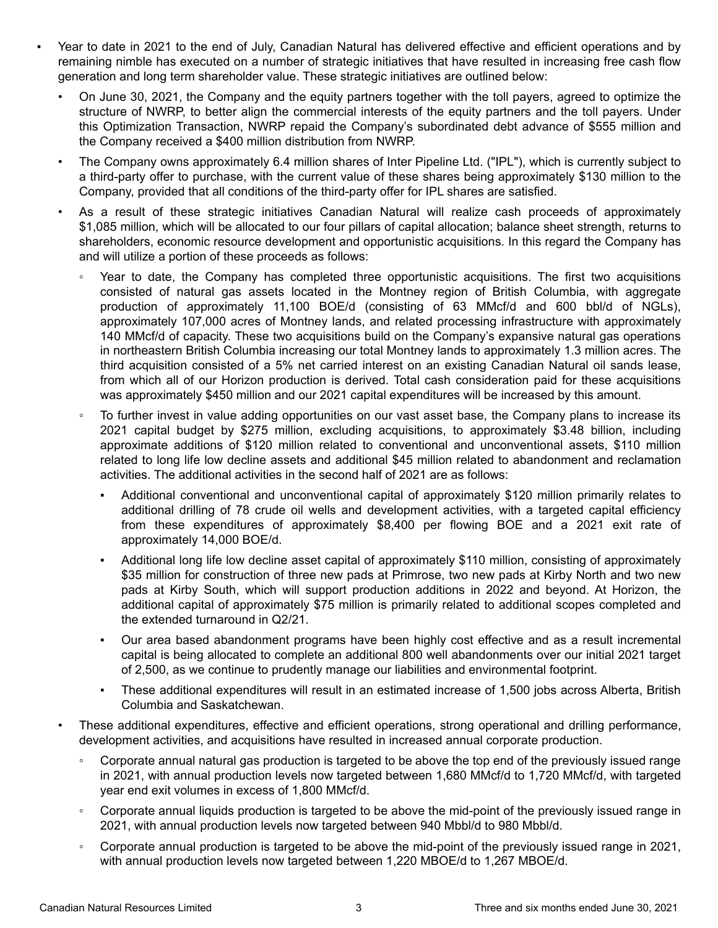- Year to date in 2021 to the end of July, Canadian Natural has delivered effective and efficient operations and by remaining nimble has executed on a number of strategic initiatives that have resulted in increasing free cash flow generation and long term shareholder value. These strategic initiatives are outlined below:
	- On June 30, 2021, the Company and the equity partners together with the toll payers, agreed to optimize the structure of NWRP, to better align the commercial interests of the equity partners and the toll payers. Under this Optimization Transaction, NWRP repaid the Company's subordinated debt advance of \$555 million and the Company received a \$400 million distribution from NWRP.
	- The Company owns approximately 6.4 million shares of Inter Pipeline Ltd. ("IPL"), which is currently subject to a third-party offer to purchase, with the current value of these shares being approximately \$130 million to the Company, provided that all conditions of the third-party offer for IPL shares are satisfied.
	- As a result of these strategic initiatives Canadian Natural will realize cash proceeds of approximately \$1,085 million, which will be allocated to our four pillars of capital allocation; balance sheet strength, returns to shareholders, economic resource development and opportunistic acquisitions. In this regard the Company has and will utilize a portion of these proceeds as follows:
		- Year to date, the Company has completed three opportunistic acquisitions. The first two acquisitions consisted of natural gas assets located in the Montney region of British Columbia, with aggregate production of approximately 11,100 BOE/d (consisting of 63 MMcf/d and 600 bbl/d of NGLs), approximately 107,000 acres of Montney lands, and related processing infrastructure with approximately 140 MMcf/d of capacity. These two acquisitions build on the Company's expansive natural gas operations in northeastern British Columbia increasing our total Montney lands to approximately 1.3 million acres. The third acquisition consisted of a 5% net carried interest on an existing Canadian Natural oil sands lease, from which all of our Horizon production is derived. Total cash consideration paid for these acquisitions was approximately \$450 million and our 2021 capital expenditures will be increased by this amount.
		- To further invest in value adding opportunities on our vast asset base, the Company plans to increase its 2021 capital budget by \$275 million, excluding acquisitions, to approximately \$3.48 billion, including approximate additions of \$120 million related to conventional and unconventional assets, \$110 million related to long life low decline assets and additional \$45 million related to abandonment and reclamation activities. The additional activities in the second half of 2021 are as follows:
			- Additional conventional and unconventional capital of approximately \$120 million primarily relates to additional drilling of 78 crude oil wells and development activities, with a targeted capital efficiency from these expenditures of approximately \$8,400 per flowing BOE and a 2021 exit rate of approximately 14,000 BOE/d.
			- Additional long life low decline asset capital of approximately \$110 million, consisting of approximately \$35 million for construction of three new pads at Primrose, two new pads at Kirby North and two new pads at Kirby South, which will support production additions in 2022 and beyond. At Horizon, the additional capital of approximately \$75 million is primarily related to additional scopes completed and the extended turnaround in Q2/21.
			- Our area based abandonment programs have been highly cost effective and as a result incremental capital is being allocated to complete an additional 800 well abandonments over our initial 2021 target of 2,500, as we continue to prudently manage our liabilities and environmental footprint.
			- These additional expenditures will result in an estimated increase of 1,500 jobs across Alberta, British Columbia and Saskatchewan.
	- These additional expenditures, effective and efficient operations, strong operational and drilling performance, development activities, and acquisitions have resulted in increased annual corporate production.
		- Corporate annual natural gas production is targeted to be above the top end of the previously issued range in 2021, with annual production levels now targeted between 1,680 MMcf/d to 1,720 MMcf/d, with targeted year end exit volumes in excess of 1,800 MMcf/d.
		- Corporate annual liquids production is targeted to be above the mid-point of the previously issued range in 2021, with annual production levels now targeted between 940 Mbbl/d to 980 Mbbl/d.
		- Corporate annual production is targeted to be above the mid-point of the previously issued range in 2021, with annual production levels now targeted between 1,220 MBOE/d to 1,267 MBOE/d.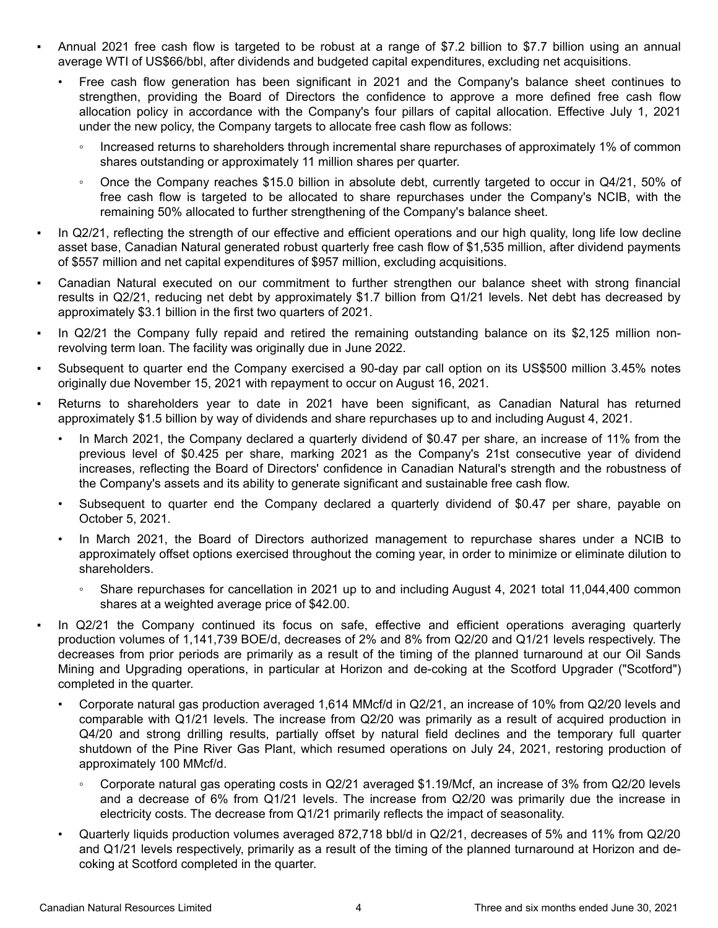- Annual 2021 free cash flow is targeted to be robust at a range of \$7.2 billion to \$7.7 billion using an annual average WTI of US\$66/bbl, after dividends and budgeted capital expenditures, excluding net acquisitions.
	- Free cash flow generation has been significant in 2021 and the Company's balance sheet continues to strengthen, providing the Board of Directors the confidence to approve a more defined free cash flow allocation policy in accordance with the Company's four pillars of capital allocation. Effective July 1, 2021 under the new policy, the Company targets to allocate free cash flow as follows:
		- Increased returns to shareholders through incremental share repurchases of approximately 1% of common shares outstanding or approximately 11 million shares per quarter.
		- Once the Company reaches \$15.0 billion in absolute debt, currently targeted to occur in Q4/21, 50% of free cash flow is targeted to be allocated to share repurchases under the Company's NCIB, with the remaining 50% allocated to further strengthening of the Company's balance sheet.
- In Q2/21, reflecting the strength of our effective and efficient operations and our high quality, long life low decline asset base, Canadian Natural generated robust quarterly free cash flow of \$1,535 million, after dividend payments of \$557 million and net capital expenditures of \$957 million, excluding acquisitions.
- Canadian Natural executed on our commitment to further strengthen our balance sheet with strong financial results in Q2/21, reducing net debt by approximately \$1.7 billion from Q1/21 levels. Net debt has decreased by approximately \$3.1 billion in the first two quarters of 2021.
- In Q2/21 the Company fully repaid and retired the remaining outstanding balance on its \$2,125 million nonrevolving term loan. The facility was originally due in June 2022.
- Subsequent to quarter end the Company exercised a 90-day par call option on its US\$500 million 3.45% notes originally due November 15, 2021 with repayment to occur on August 16, 2021.
- Returns to shareholders year to date in 2021 have been significant, as Canadian Natural has returned approximately \$1.5 billion by way of dividends and share repurchases up to and including August 4, 2021.
	- In March 2021, the Company declared a quarterly dividend of \$0.47 per share, an increase of 11% from the previous level of \$0.425 per share, marking 2021 as the Company's 21st consecutive year of dividend increases, reflecting the Board of Directors' confidence in Canadian Natural's strength and the robustness of the Company's assets and its ability to generate significant and sustainable free cash flow.
	- Subsequent to quarter end the Company declared a quarterly dividend of \$0.47 per share, payable on October 5, 2021.
	- In March 2021, the Board of Directors authorized management to repurchase shares under a NCIB to approximately offset options exercised throughout the coming year, in order to minimize or eliminate dilution to shareholders.
		- Share repurchases for cancellation in 2021 up to and including August 4, 2021 total 11,044,400 common shares at a weighted average price of \$42.00.
- In Q2/21 the Company continued its focus on safe, effective and efficient operations averaging quarterly production volumes of 1,141,739 BOE/d, decreases of 2% and 8% from Q2/20 and Q1/21 levels respectively. The decreases from prior periods are primarily as a result of the timing of the planned turnaround at our Oil Sands Mining and Upgrading operations, in particular at Horizon and de-coking at the Scotford Upgrader ("Scotford") completed in the quarter.
	- Corporate natural gas production averaged 1,614 MMcf/d in Q2/21, an increase of 10% from Q2/20 levels and comparable with Q1/21 levels. The increase from Q2/20 was primarily as a result of acquired production in Q4/20 and strong drilling results, partially offset by natural field declines and the temporary full quarter shutdown of the Pine River Gas Plant, which resumed operations on July 24, 2021, restoring production of approximately 100 MMcf/d.
		- Corporate natural gas operating costs in Q2/21 averaged \$1.19/Mcf, an increase of 3% from Q2/20 levels and a decrease of 6% from Q1/21 levels. The increase from Q2/20 was primarily due the increase in electricity costs. The decrease from Q1/21 primarily reflects the impact of seasonality.
	- Quarterly liquids production volumes averaged 872,718 bbl/d in Q2/21, decreases of 5% and 11% from Q2/20 and Q1/21 levels respectively, primarily as a result of the timing of the planned turnaround at Horizon and decoking at Scotford completed in the quarter.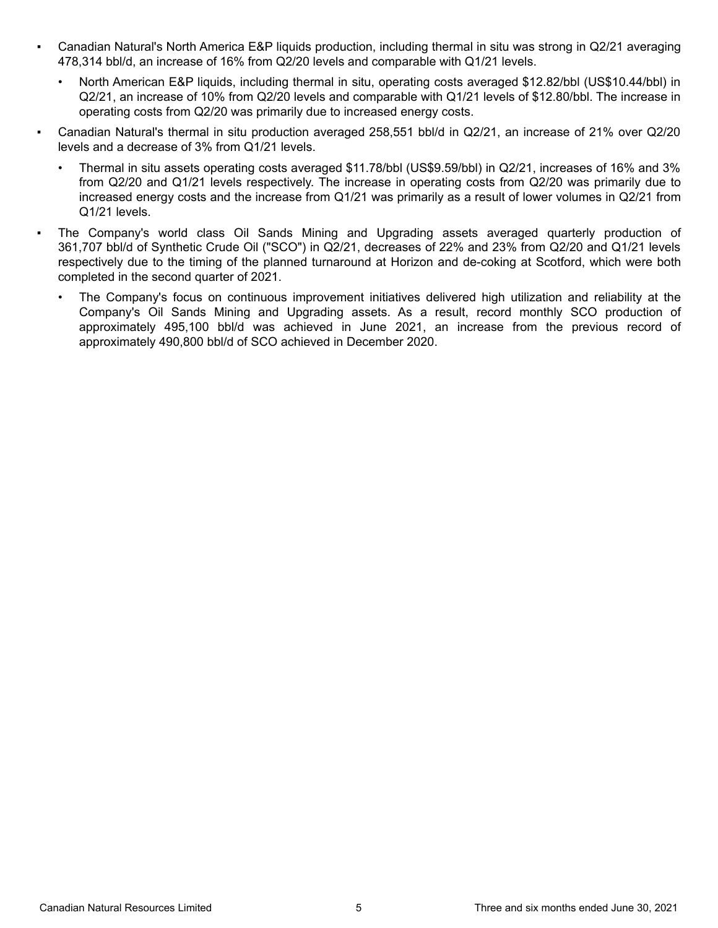- Canadian Natural's North America E&P liquids production, including thermal in situ was strong in Q2/21 averaging 478,314 bbl/d, an increase of 16% from Q2/20 levels and comparable with Q1/21 levels.
	- North American E&P liquids, including thermal in situ, operating costs averaged \$12.82/bbl (US\$10.44/bbl) in Q2/21, an increase of 10% from Q2/20 levels and comparable with Q1/21 levels of \$12.80/bbl. The increase in operating costs from Q2/20 was primarily due to increased energy costs.
- Canadian Natural's thermal in situ production averaged 258,551 bbl/d in Q2/21, an increase of 21% over Q2/20 levels and a decrease of 3% from Q1/21 levels.
	- Thermal in situ assets operating costs averaged \$11.78/bbl (US\$9.59/bbl) in Q2/21, increases of 16% and 3% from Q2/20 and Q1/21 levels respectively. The increase in operating costs from Q2/20 was primarily due to increased energy costs and the increase from Q1/21 was primarily as a result of lower volumes in Q2/21 from Q1/21 levels.
- The Company's world class Oil Sands Mining and Upgrading assets averaged quarterly production of 361,707 bbl/d of Synthetic Crude Oil ("SCO") in Q2/21, decreases of 22% and 23% from Q2/20 and Q1/21 levels respectively due to the timing of the planned turnaround at Horizon and de-coking at Scotford, which were both completed in the second quarter of 2021.
	- The Company's focus on continuous improvement initiatives delivered high utilization and reliability at the Company's Oil Sands Mining and Upgrading assets. As a result, record monthly SCO production of approximately 495,100 bbl/d was achieved in June 2021, an increase from the previous record of approximately 490,800 bbl/d of SCO achieved in December 2020.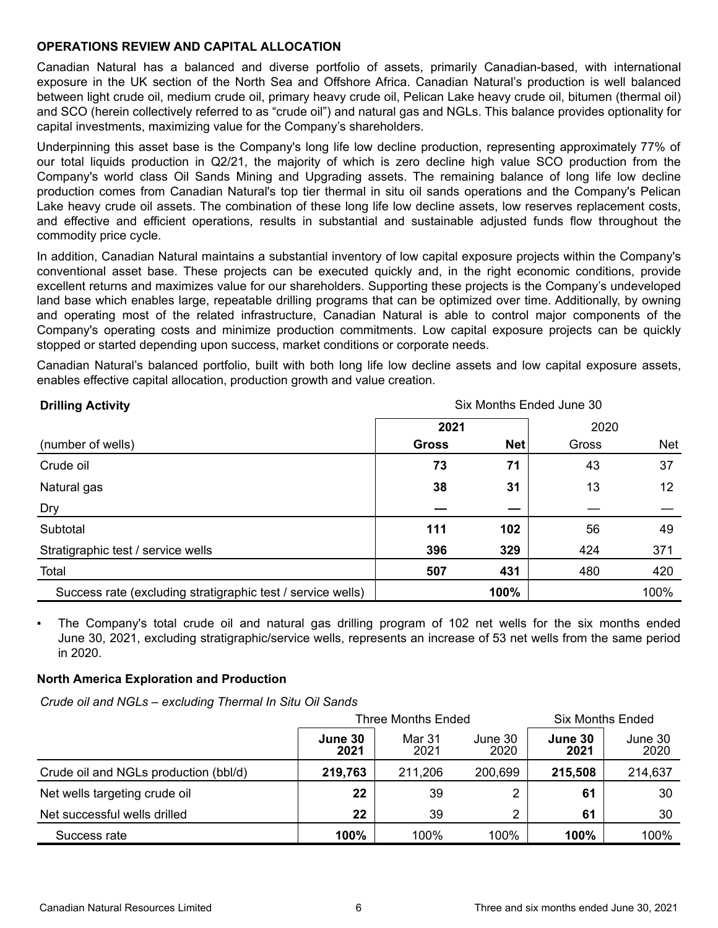## **OPERATIONS REVIEW AND CAPITAL ALLOCATION**

Canadian Natural has a balanced and diverse portfolio of assets, primarily Canadian-based, with international exposure in the UK section of the North Sea and Offshore Africa. Canadian Natural's production is well balanced between light crude oil, medium crude oil, primary heavy crude oil, Pelican Lake heavy crude oil, bitumen (thermal oil) and SCO (herein collectively referred to as "crude oil") and natural gas and NGLs. This balance provides optionality for capital investments, maximizing value for the Company's shareholders.

Underpinning this asset base is the Company's long life low decline production, representing approximately 77% of our total liquids production in Q2/21, the majority of which is zero decline high value SCO production from the Company's world class Oil Sands Mining and Upgrading assets. The remaining balance of long life low decline production comes from Canadian Natural's top tier thermal in situ oil sands operations and the Company's Pelican Lake heavy crude oil assets. The combination of these long life low decline assets, low reserves replacement costs, and effective and efficient operations, results in substantial and sustainable adjusted funds flow throughout the commodity price cycle.

In addition, Canadian Natural maintains a substantial inventory of low capital exposure projects within the Company's conventional asset base. These projects can be executed quickly and, in the right economic conditions, provide excellent returns and maximizes value for our shareholders. Supporting these projects is the Company's undeveloped land base which enables large, repeatable drilling programs that can be optimized over time. Additionally, by owning and operating most of the related infrastructure, Canadian Natural is able to control major components of the Company's operating costs and minimize production commitments. Low capital exposure projects can be quickly stopped or started depending upon success, market conditions or corporate needs.

Canadian Natural's balanced portfolio, built with both long life low decline assets and low capital exposure assets, enables effective capital allocation, production growth and value creation.

| <b>Drilling Activity</b>                                    | Six Months Ended June 30 |            |       |            |  |  |  |  |  |
|-------------------------------------------------------------|--------------------------|------------|-------|------------|--|--|--|--|--|
|                                                             | 2021                     |            | 2020  |            |  |  |  |  |  |
| (number of wells)                                           | <b>Gross</b>             | <b>Net</b> | Gross | <b>Net</b> |  |  |  |  |  |
| Crude oil                                                   | 73                       | 71         | 43    | 37         |  |  |  |  |  |
| Natural gas                                                 | 38                       | 31         | 13    | 12         |  |  |  |  |  |
| Dry                                                         |                          |            |       |            |  |  |  |  |  |
| Subtotal                                                    | 111                      | 102        | 56    | 49         |  |  |  |  |  |
| Stratigraphic test / service wells                          | 396                      | 329        | 424   | 371        |  |  |  |  |  |
| Total                                                       | 507                      | 431        | 480   | 420        |  |  |  |  |  |
| Success rate (excluding stratigraphic test / service wells) |                          | 100%       |       | 100%       |  |  |  |  |  |

The Company's total crude oil and natural gas drilling program of 102 net wells for the six months ended June 30, 2021, excluding stratigraphic/service wells, represents an increase of 53 net wells from the same period in 2020.

# **North America Exploration and Production**

*Crude oil and NGLs – excluding Thermal In Situ Oil Sands*

|                                       |                 | <b>Three Months Ended</b> | Six Months Ended |                 |                 |  |
|---------------------------------------|-----------------|---------------------------|------------------|-----------------|-----------------|--|
|                                       | June 30<br>2021 | Mar 31<br>2021            | June 30<br>2020  | June 30<br>2021 | June 30<br>2020 |  |
| Crude oil and NGLs production (bbl/d) | 219,763         | 211,206                   | 200,699          | 215,508         | 214,637         |  |
| Net wells targeting crude oil         | 22              | 39                        | ◠                | 61              | 30              |  |
| Net successful wells drilled          | 22              | 39                        | ◠                | 61              | 30              |  |
| Success rate                          | 100%            | 100%                      | 100%             | 100%            | 100%            |  |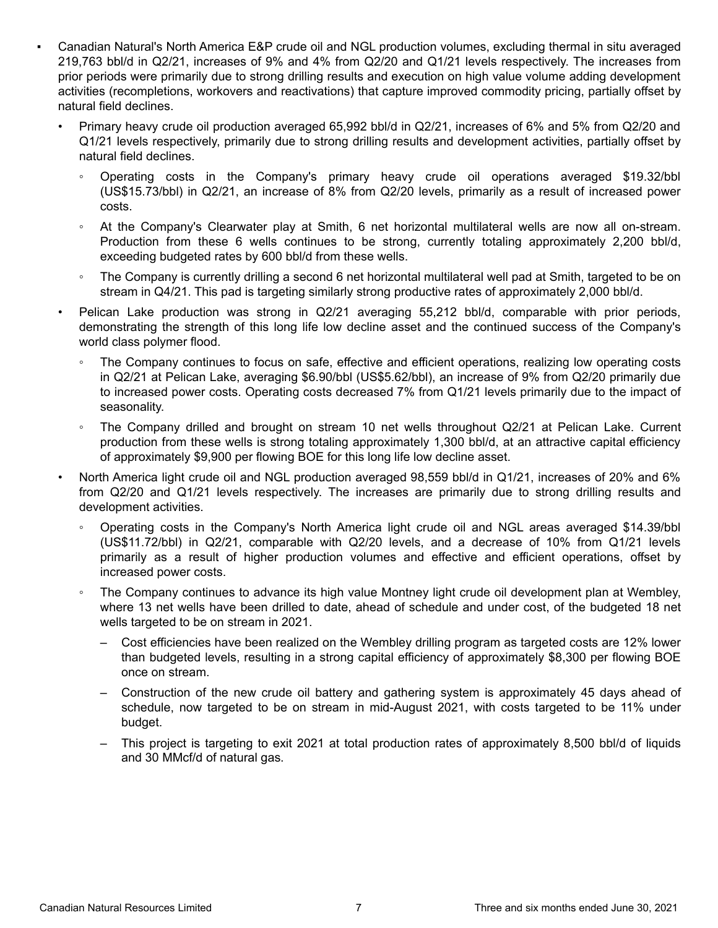- Canadian Natural's North America E&P crude oil and NGL production volumes, excluding thermal in situ averaged 219,763 bbl/d in Q2/21, increases of 9% and 4% from Q2/20 and Q1/21 levels respectively. The increases from prior periods were primarily due to strong drilling results and execution on high value volume adding development activities (recompletions, workovers and reactivations) that capture improved commodity pricing, partially offset by natural field declines.
	- Primary heavy crude oil production averaged 65,992 bbl/d in Q2/21, increases of 6% and 5% from Q2/20 and Q1/21 levels respectively, primarily due to strong drilling results and development activities, partially offset by natural field declines.
		- Operating costs in the Company's primary heavy crude oil operations averaged \$19.32/bbl (US\$15.73/bbl) in Q2/21, an increase of 8% from Q2/20 levels, primarily as a result of increased power costs.
		- At the Company's Clearwater play at Smith, 6 net horizontal multilateral wells are now all on-stream. Production from these 6 wells continues to be strong, currently totaling approximately 2,200 bbl/d, exceeding budgeted rates by 600 bbl/d from these wells.
		- The Company is currently drilling a second 6 net horizontal multilateral well pad at Smith, targeted to be on stream in Q4/21. This pad is targeting similarly strong productive rates of approximately 2,000 bbl/d.
	- Pelican Lake production was strong in Q2/21 averaging 55,212 bbl/d, comparable with prior periods, demonstrating the strength of this long life low decline asset and the continued success of the Company's world class polymer flood.
		- The Company continues to focus on safe, effective and efficient operations, realizing low operating costs in Q2/21 at Pelican Lake, averaging \$6.90/bbl (US\$5.62/bbl), an increase of 9% from Q2/20 primarily due to increased power costs. Operating costs decreased 7% from Q1/21 levels primarily due to the impact of seasonality.
		- The Company drilled and brought on stream 10 net wells throughout Q2/21 at Pelican Lake. Current production from these wells is strong totaling approximately 1,300 bbl/d, at an attractive capital efficiency of approximately \$9,900 per flowing BOE for this long life low decline asset.
	- North America light crude oil and NGL production averaged 98,559 bbl/d in Q1/21, increases of 20% and 6% from Q2/20 and Q1/21 levels respectively. The increases are primarily due to strong drilling results and development activities.
		- Operating costs in the Company's North America light crude oil and NGL areas averaged \$14.39/bbl (US\$11.72/bbl) in Q2/21, comparable with Q2/20 levels, and a decrease of 10% from Q1/21 levels primarily as a result of higher production volumes and effective and efficient operations, offset by increased power costs.
		- The Company continues to advance its high value Montney light crude oil development plan at Wembley, where 13 net wells have been drilled to date, ahead of schedule and under cost, of the budgeted 18 net wells targeted to be on stream in 2021.
			- Cost efficiencies have been realized on the Wembley drilling program as targeted costs are 12% lower than budgeted levels, resulting in a strong capital efficiency of approximately \$8,300 per flowing BOE once on stream.
			- Construction of the new crude oil battery and gathering system is approximately 45 days ahead of schedule, now targeted to be on stream in mid-August 2021, with costs targeted to be 11% under budget.
			- This project is targeting to exit 2021 at total production rates of approximately 8,500 bbl/d of liquids and 30 MMcf/d of natural gas.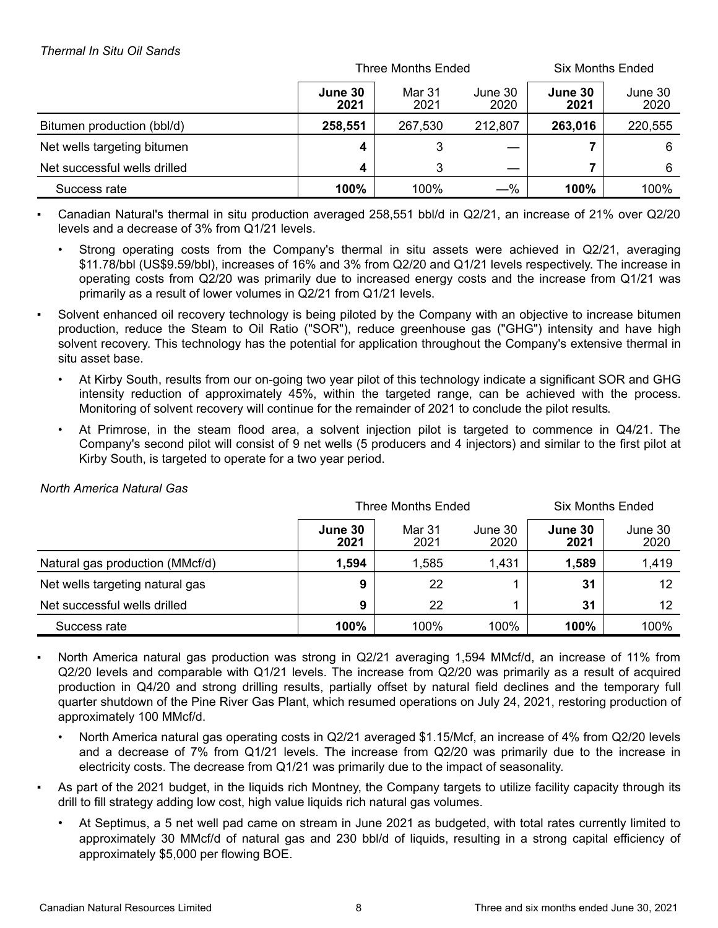|                              |                 | Three Months Ended | <b>Six Months Ended</b> |                 |                 |  |
|------------------------------|-----------------|--------------------|-------------------------|-----------------|-----------------|--|
|                              | June 30<br>2021 | Mar 31<br>2021     | June 30<br>2020         | June 30<br>2021 | June 30<br>2020 |  |
| Bitumen production (bbl/d)   | 258,551         | 267,530            | 212,807                 | 263,016         | 220,555         |  |
| Net wells targeting bitumen  | 4               | 3                  |                         |                 | 6               |  |
| Net successful wells drilled | 4               | 3                  |                         |                 | 6               |  |
| Success rate                 | 100%            | 100%               | $-\%$                   | 100%            | 100%            |  |

Canadian Natural's thermal in situ production averaged 258,551 bbl/d in Q2/21, an increase of 21% over Q2/20 levels and a decrease of 3% from Q1/21 levels.

- Strong operating costs from the Company's thermal in situ assets were achieved in Q2/21, averaging \$11.78/bbl (US\$9.59/bbl), increases of 16% and 3% from Q2/20 and Q1/21 levels respectively. The increase in operating costs from Q2/20 was primarily due to increased energy costs and the increase from Q1/21 was primarily as a result of lower volumes in Q2/21 from Q1/21 levels.
- Solvent enhanced oil recovery technology is being piloted by the Company with an objective to increase bitumen production, reduce the Steam to Oil Ratio ("SOR"), reduce greenhouse gas ("GHG") intensity and have high solvent recovery. This technology has the potential for application throughout the Company's extensive thermal in situ asset base.
	- At Kirby South, results from our on-going two year pilot of this technology indicate a significant SOR and GHG intensity reduction of approximately 45%, within the targeted range, can be achieved with the process. Monitoring of solvent recovery will continue for the remainder of 2021 to conclude the pilot results.
	- At Primrose, in the steam flood area, a solvent injection pilot is targeted to commence in Q4/21. The Company's second pilot will consist of 9 net wells (5 producers and 4 injectors) and similar to the first pilot at Kirby South, is targeted to operate for a two year period.

|                                 |                 | <b>Three Months Ended</b> | Six Months Ended |                 |                 |  |
|---------------------------------|-----------------|---------------------------|------------------|-----------------|-----------------|--|
|                                 | June 30<br>2021 | Mar 31<br>2021            | June 30<br>2020  | June 30<br>2021 | June 30<br>2020 |  |
| Natural gas production (MMcf/d) | 1,594           | 1,585                     | 1,431            | 1,589           | 1,419           |  |
| Net wells targeting natural gas | 9               | 22                        |                  | 31              | 12              |  |
| Net successful wells drilled    | 9               | 22                        |                  | 31              | 12              |  |
| Success rate                    | 100%            | 100%                      | 100%             | 100%            | 100%            |  |

# *North America Natural Gas*

- North America natural gas production was strong in Q2/21 averaging 1,594 MMcf/d, an increase of 11% from Q2/20 levels and comparable with Q1/21 levels. The increase from Q2/20 was primarily as a result of acquired production in Q4/20 and strong drilling results, partially offset by natural field declines and the temporary full quarter shutdown of the Pine River Gas Plant, which resumed operations on July 24, 2021, restoring production of approximately 100 MMcf/d.
	- North America natural gas operating costs in Q2/21 averaged \$1.15/Mcf, an increase of 4% from Q2/20 levels and a decrease of 7% from Q1/21 levels. The increase from Q2/20 was primarily due to the increase in electricity costs. The decrease from Q1/21 was primarily due to the impact of seasonality.
- As part of the 2021 budget, in the liquids rich Montney, the Company targets to utilize facility capacity through its drill to fill strategy adding low cost, high value liquids rich natural gas volumes.
	- At Septimus, a 5 net well pad came on stream in June 2021 as budgeted, with total rates currently limited to approximately 30 MMcf/d of natural gas and 230 bbl/d of liquids, resulting in a strong capital efficiency of approximately \$5,000 per flowing BOE.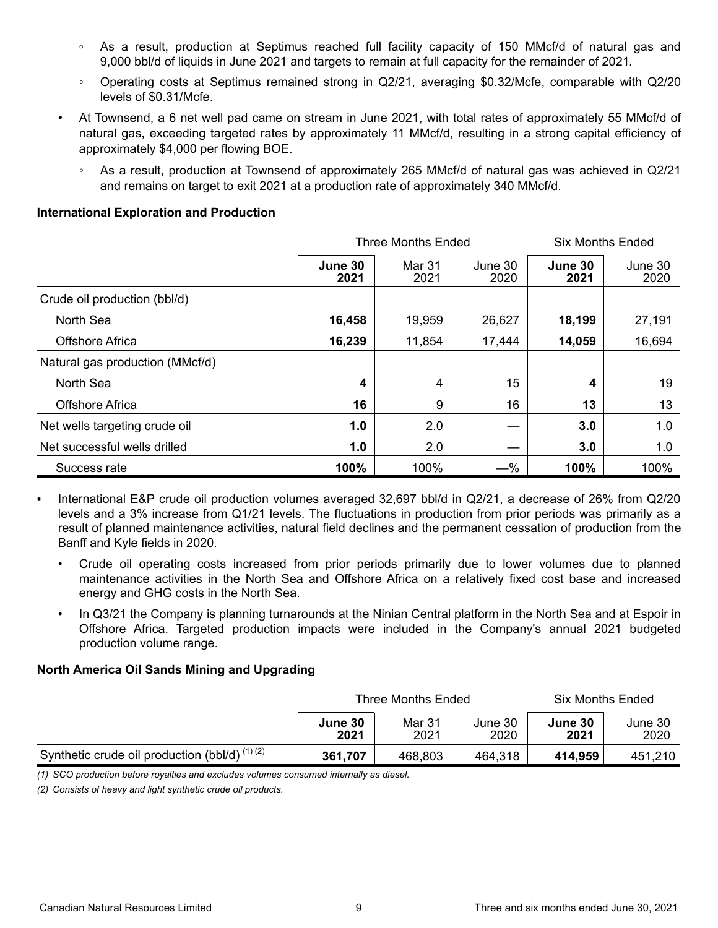- **◦** As a result, production at Septimus reached full facility capacity of 150 MMcf/d of natural gas and 9,000 bbl/d of liquids in June 2021 and targets to remain at full capacity for the remainder of 2021.
- Operating costs at Septimus remained strong in Q2/21, averaging \$0.32/Mcfe, comparable with Q2/20 levels of \$0.31/Mcfe.
- At Townsend, a 6 net well pad came on stream in June 2021, with total rates of approximately 55 MMcf/d of natural gas, exceeding targeted rates by approximately 11 MMcf/d, resulting in a strong capital efficiency of approximately \$4,000 per flowing BOE.
	- As a result, production at Townsend of approximately 265 MMcf/d of natural gas was achieved in Q2/21 and remains on target to exit 2021 at a production rate of approximately 340 MMcf/d.

# **International Exploration and Production**

|                                 |                 | <b>Three Months Ended</b><br><b>Six Months Ended</b> |                 |                 |                 |  |
|---------------------------------|-----------------|------------------------------------------------------|-----------------|-----------------|-----------------|--|
|                                 | June 30<br>2021 | Mar 31<br>2021                                       | June 30<br>2020 | June 30<br>2021 | June 30<br>2020 |  |
| Crude oil production (bbl/d)    |                 |                                                      |                 |                 |                 |  |
| North Sea                       | 16,458          | 19,959                                               | 26,627          | 18,199          | 27,191          |  |
| <b>Offshore Africa</b>          | 16,239          | 11,854                                               | 17,444          | 14,059          | 16,694          |  |
| Natural gas production (MMcf/d) |                 |                                                      |                 |                 |                 |  |
| North Sea                       | 4               | $\overline{4}$                                       | 15              | 4               | 19              |  |
| Offshore Africa                 | 16              | 9                                                    | 16              | 13              | 13              |  |
| Net wells targeting crude oil   | 1.0             | 2.0                                                  |                 | 3.0             | 1.0             |  |
| Net successful wells drilled    | 1.0             | 2.0                                                  |                 | 3.0             | 1.0             |  |
| Success rate                    | 100%            | 100%                                                 | $-$ %           | 100%            | 100%            |  |

- International E&P crude oil production volumes averaged 32,697 bbl/d in Q2/21, a decrease of 26% from Q2/20 levels and a 3% increase from Q1/21 levels. The fluctuations in production from prior periods was primarily as a result of planned maintenance activities, natural field declines and the permanent cessation of production from the Banff and Kyle fields in 2020.
	- Crude oil operating costs increased from prior periods primarily due to lower volumes due to planned maintenance activities in the North Sea and Offshore Africa on a relatively fixed cost base and increased energy and GHG costs in the North Sea.
	- In Q3/21 the Company is planning turnarounds at the Ninian Central platform in the North Sea and at Espoir in Offshore Africa. Targeted production impacts were included in the Company's annual 2021 budgeted production volume range.

# **North America Oil Sands Mining and Upgrading**

|                                                 |                 | <b>Three Months Ended</b> |                 | <b>Six Months Ended</b> |                 |  |  |
|-------------------------------------------------|-----------------|---------------------------|-----------------|-------------------------|-----------------|--|--|
|                                                 | June 30<br>2021 | Mar 31<br>2021            | June 30<br>2020 | June 30<br>2021         | June 30<br>2020 |  |  |
| Synthetic crude oil production (bbl/d) $(1)(2)$ | 361,707         | 468,803                   | 464,318         | 414,959                 | 451,210         |  |  |

*(1) SCO production before royalties and excludes volumes consumed internally as diesel.* 

*(2) Consists of heavy and light synthetic crude oil products.*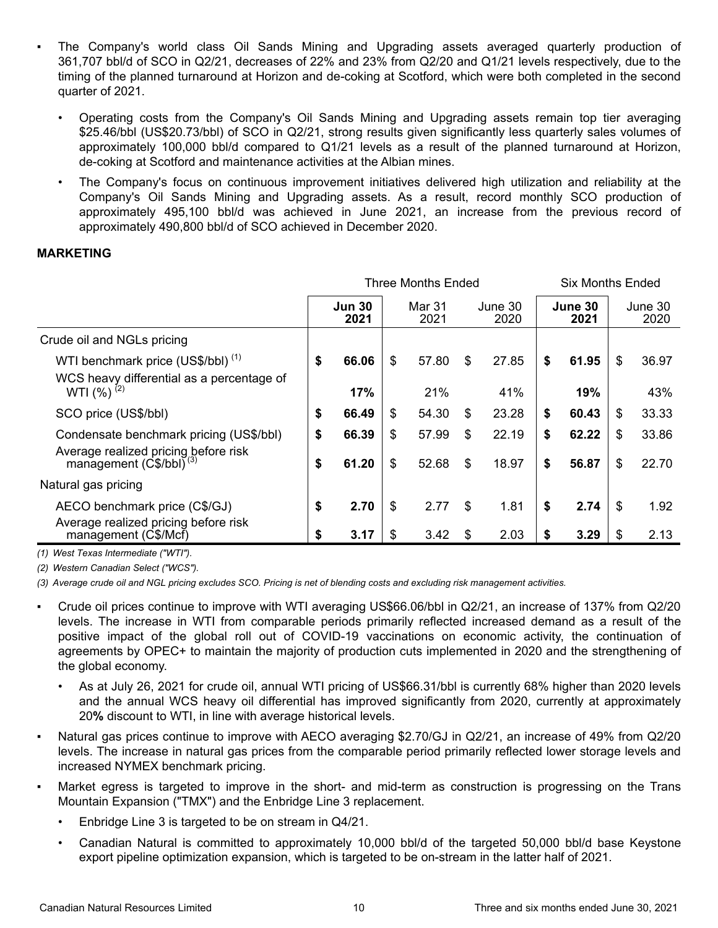- The Company's world class Oil Sands Mining and Upgrading assets averaged quarterly production of 361,707 bbl/d of SCO in Q2/21, decreases of 22% and 23% from Q2/20 and Q1/21 levels respectively, due to the timing of the planned turnaround at Horizon and de-coking at Scotford, which were both completed in the second quarter of 2021.
	- Operating costs from the Company's Oil Sands Mining and Upgrading assets remain top tier averaging \$25.46/bbl (US\$20.73/bbl) of SCO in Q2/21, strong results given significantly less quarterly sales volumes of approximately 100,000 bbl/d compared to Q1/21 levels as a result of the planned turnaround at Horizon, de-coking at Scotford and maintenance activities at the Albian mines.
	- The Company's focus on continuous improvement initiatives delivered high utilization and reliability at the Company's Oil Sands Mining and Upgrading assets. As a result, record monthly SCO production of approximately 495,100 bbl/d was achieved in June 2021, an increase from the previous record of approximately 490,800 bbl/d of SCO achieved in December 2020.

### **MARKETING**

|                                                                                            | <b>Three Months Ended</b> |                       |    |                |    |                 | Six Months Ended |                 |    |                 |
|--------------------------------------------------------------------------------------------|---------------------------|-----------------------|----|----------------|----|-----------------|------------------|-----------------|----|-----------------|
|                                                                                            |                           | <b>Jun 30</b><br>2021 |    | Mar 31<br>2021 |    | June 30<br>2020 |                  | June 30<br>2021 |    | June 30<br>2020 |
| Crude oil and NGLs pricing                                                                 |                           |                       |    |                |    |                 |                  |                 |    |                 |
| WTI benchmark price (US\$/bbl) <sup>(1)</sup><br>WCS heavy differential as a percentage of | \$                        | 66.06                 | \$ | 57.80          | \$ | 27.85           | \$               | 61.95           | \$ | 36.97           |
| WTI $(\%)^{(2)}$                                                                           |                           | 17%                   |    | 21%            |    | 41%             |                  | 19%             |    | 43%             |
| SCO price (US\$/bbl)                                                                       | \$                        | 66.49                 | \$ | 54.30          | \$ | 23.28           | \$               | 60.43           | \$ | 33.33           |
| Condensate benchmark pricing (US\$/bbl)<br>Average realized pricing before risk            | \$                        | 66.39                 | \$ | 57.99          | \$ | 22.19           | \$               | 62.22           | \$ | 33.86           |
| management $(\dot{C}\$ /bbl $\check{O}^{(3)}$                                              | \$                        | 61.20                 | \$ | 52.68          | \$ | 18.97           | \$               | 56.87           | \$ | 22.70           |
| Natural gas pricing                                                                        |                           |                       |    |                |    |                 |                  |                 |    |                 |
| AECO benchmark price (C\$/GJ)                                                              | \$                        | 2.70                  | \$ | 2.77           | \$ | 1.81            | \$               | 2.74            | \$ | 1.92            |
| Average realized pricing before risk<br>management (C\$/Mcf)                               | S                         | 3.17                  | \$ | 3.42           | \$ | 2.03            |                  | 3.29            | \$ | 2.13            |

*(1) West Texas Intermediate ("WTI").*

*(2) Western Canadian Select ("WCS").*

*(3) Average crude oil and NGL pricing excludes SCO. Pricing is net of blending costs and excluding risk management activities.*

- Crude oil prices continue to improve with WTI averaging US\$66.06/bbl in Q2/21, an increase of 137% from Q2/20 levels. The increase in WTI from comparable periods primarily reflected increased demand as a result of the positive impact of the global roll out of COVID-19 vaccinations on economic activity, the continuation of agreements by OPEC+ to maintain the majority of production cuts implemented in 2020 and the strengthening of the global economy.
	- As at July 26, 2021 for crude oil, annual WTI pricing of US\$66.31/bbl is currently 68% higher than 2020 levels and the annual WCS heavy oil differential has improved significantly from 2020, currently at approximately 20**%** discount to WTI, in line with average historical levels.
- Natural gas prices continue to improve with AECO averaging \$2.70/GJ in Q2/21, an increase of 49% from Q2/20 levels. The increase in natural gas prices from the comparable period primarily reflected lower storage levels and increased NYMEX benchmark pricing.
- Market egress is targeted to improve in the short- and mid-term as construction is progressing on the Trans Mountain Expansion ("TMX") and the Enbridge Line 3 replacement.
	- Enbridge Line 3 is targeted to be on stream in Q4/21.
	- Canadian Natural is committed to approximately 10,000 bbl/d of the targeted 50,000 bbl/d base Keystone export pipeline optimization expansion, which is targeted to be on-stream in the latter half of 2021.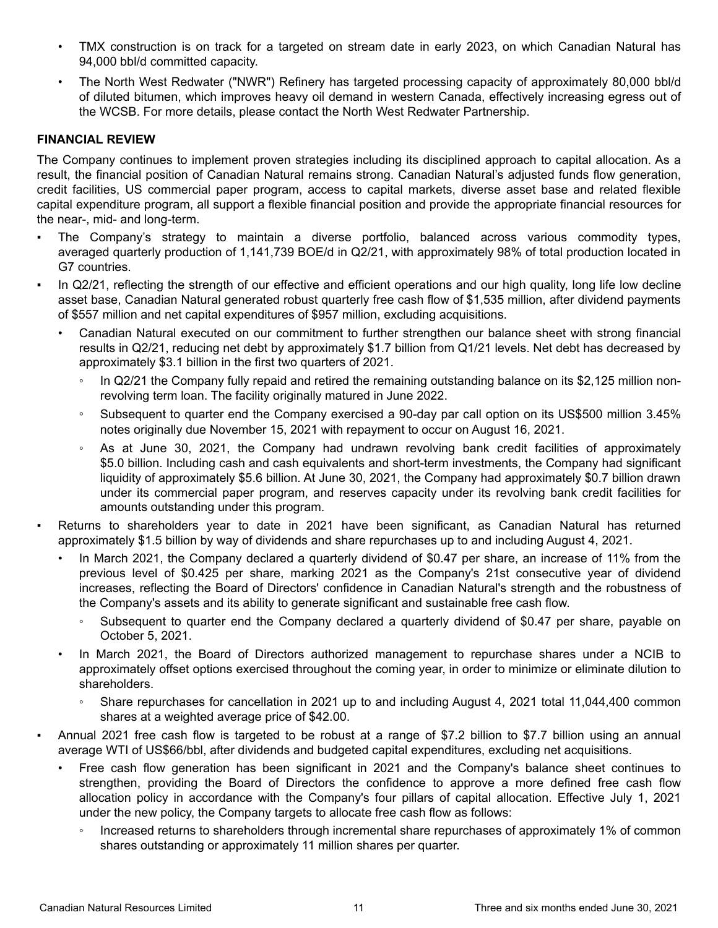- TMX construction is on track for a targeted on stream date in early 2023, on which Canadian Natural has 94,000 bbl/d committed capacity.
- The North West Redwater ("NWR") Refinery has targeted processing capacity of approximately 80,000 bbl/d of diluted bitumen, which improves heavy oil demand in western Canada, effectively increasing egress out of the WCSB. For more details, please contact the North West Redwater Partnership.

# **FINANCIAL REVIEW**

The Company continues to implement proven strategies including its disciplined approach to capital allocation. As a result, the financial position of Canadian Natural remains strong. Canadian Natural's adjusted funds flow generation, credit facilities, US commercial paper program, access to capital markets, diverse asset base and related flexible capital expenditure program, all support a flexible financial position and provide the appropriate financial resources for the near-, mid- and long-term.

- The Company's strategy to maintain a diverse portfolio, balanced across various commodity types, averaged quarterly production of 1,141,739 BOE/d in Q2/21, with approximately 98% of total production located in G7 countries.
- In Q2/21, reflecting the strength of our effective and efficient operations and our high quality, long life low decline asset base, Canadian Natural generated robust quarterly free cash flow of \$1,535 million, after dividend payments of \$557 million and net capital expenditures of \$957 million, excluding acquisitions.
	- Canadian Natural executed on our commitment to further strengthen our balance sheet with strong financial results in Q2/21, reducing net debt by approximately \$1.7 billion from Q1/21 levels. Net debt has decreased by approximately \$3.1 billion in the first two quarters of 2021.
		- In Q2/21 the Company fully repaid and retired the remaining outstanding balance on its \$2,125 million nonrevolving term loan. The facility originally matured in June 2022.
		- Subsequent to quarter end the Company exercised a 90-day par call option on its US\$500 million 3.45% notes originally due November 15, 2021 with repayment to occur on August 16, 2021.
		- As at June 30, 2021, the Company had undrawn revolving bank credit facilities of approximately \$5.0 billion. Including cash and cash equivalents and short-term investments, the Company had significant liquidity of approximately \$5.6 billion. At June 30, 2021, the Company had approximately \$0.7 billion drawn under its commercial paper program, and reserves capacity under its revolving bank credit facilities for amounts outstanding under this program.
- Returns to shareholders year to date in 2021 have been significant, as Canadian Natural has returned approximately \$1.5 billion by way of dividends and share repurchases up to and including August 4, 2021.
	- In March 2021, the Company declared a quarterly dividend of \$0.47 per share, an increase of 11% from the previous level of \$0.425 per share, marking 2021 as the Company's 21st consecutive year of dividend increases, reflecting the Board of Directors' confidence in Canadian Natural's strength and the robustness of the Company's assets and its ability to generate significant and sustainable free cash flow.
		- Subsequent to quarter end the Company declared a quarterly dividend of \$0.47 per share, payable on October 5, 2021.
	- In March 2021, the Board of Directors authorized management to repurchase shares under a NCIB to approximately offset options exercised throughout the coming year, in order to minimize or eliminate dilution to shareholders.
		- Share repurchases for cancellation in 2021 up to and including August 4, 2021 total 11,044,400 common shares at a weighted average price of \$42.00.
- Annual 2021 free cash flow is targeted to be robust at a range of \$7.2 billion to \$7.7 billion using an annual average WTI of US\$66/bbl, after dividends and budgeted capital expenditures, excluding net acquisitions.
	- Free cash flow generation has been significant in 2021 and the Company's balance sheet continues to strengthen, providing the Board of Directors the confidence to approve a more defined free cash flow allocation policy in accordance with the Company's four pillars of capital allocation. Effective July 1, 2021 under the new policy, the Company targets to allocate free cash flow as follows:
		- Increased returns to shareholders through incremental share repurchases of approximately 1% of common shares outstanding or approximately 11 million shares per quarter.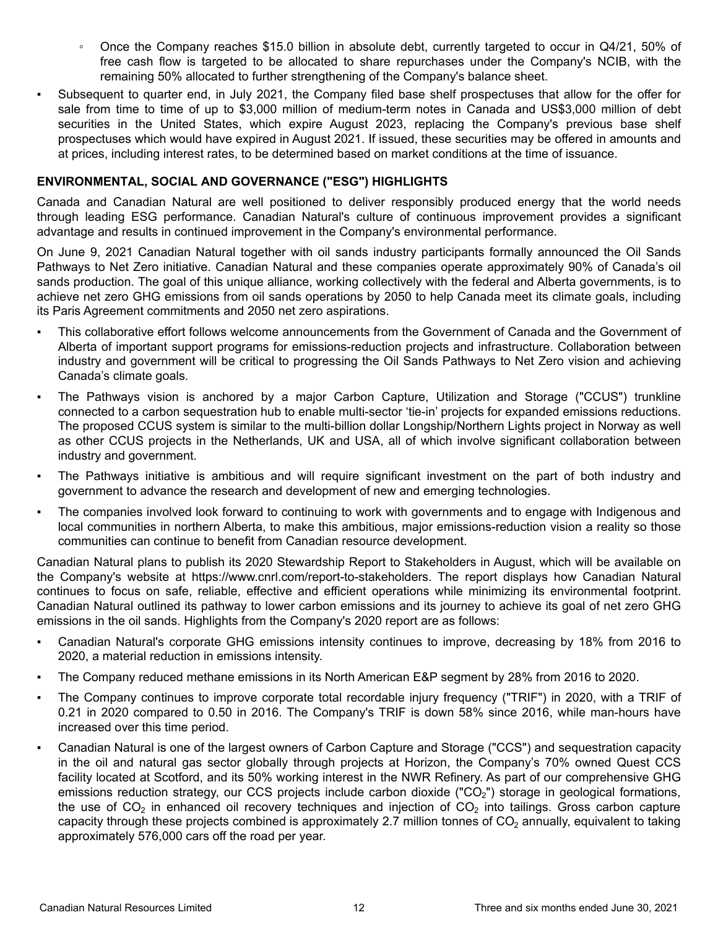- Once the Company reaches \$15.0 billion in absolute debt, currently targeted to occur in Q4/21, 50% of free cash flow is targeted to be allocated to share repurchases under the Company's NCIB, with the remaining 50% allocated to further strengthening of the Company's balance sheet.
- Subsequent to quarter end, in July 2021, the Company filed base shelf prospectuses that allow for the offer for sale from time to time of up to \$3,000 million of medium-term notes in Canada and US\$3,000 million of debt securities in the United States, which expire August 2023, replacing the Company's previous base shelf prospectuses which would have expired in August 2021. If issued, these securities may be offered in amounts and at prices, including interest rates, to be determined based on market conditions at the time of issuance.

## **ENVIRONMENTAL, SOCIAL AND GOVERNANCE ("ESG") HIGHLIGHTS**

Canada and Canadian Natural are well positioned to deliver responsibly produced energy that the world needs through leading ESG performance. Canadian Natural's culture of continuous improvement provides a significant advantage and results in continued improvement in the Company's environmental performance.

On June 9, 2021 Canadian Natural together with oil sands industry participants formally announced the Oil Sands Pathways to Net Zero initiative. Canadian Natural and these companies operate approximately 90% of Canada's oil sands production. The goal of this unique alliance, working collectively with the federal and Alberta governments, is to achieve net zero GHG emissions from oil sands operations by 2050 to help Canada meet its climate goals, including its Paris Agreement commitments and 2050 net zero aspirations.

- This collaborative effort follows welcome announcements from the Government of Canada and the Government of Alberta of important support programs for emissions-reduction projects and infrastructure. Collaboration between industry and government will be critical to progressing the Oil Sands Pathways to Net Zero vision and achieving Canada's climate goals.
- The Pathways vision is anchored by a major Carbon Capture, Utilization and Storage ("CCUS") trunkline connected to a carbon sequestration hub to enable multi-sector 'tie-in' projects for expanded emissions reductions. The proposed CCUS system is similar to the multi-billion dollar Longship/Northern Lights project in Norway as well as other CCUS projects in the Netherlands, UK and USA, all of which involve significant collaboration between industry and government.
- The Pathways initiative is ambitious and will require significant investment on the part of both industry and government to advance the research and development of new and emerging technologies.
- The companies involved look forward to continuing to work with governments and to engage with Indigenous and local communities in northern Alberta, to make this ambitious, major emissions-reduction vision a reality so those communities can continue to benefit from Canadian resource development.

Canadian Natural plans to publish its 2020 Stewardship Report to Stakeholders in August, which will be available on the Company's website at https://www.cnrl.com/report-to-stakeholders. The report displays how Canadian Natural continues to focus on safe, reliable, effective and efficient operations while minimizing its environmental footprint. Canadian Natural outlined its pathway to lower carbon emissions and its journey to achieve its goal of net zero GHG emissions in the oil sands. Highlights from the Company's 2020 report are as follows:

- Canadian Natural's corporate GHG emissions intensity continues to improve, decreasing by 18% from 2016 to 2020, a material reduction in emissions intensity.
- The Company reduced methane emissions in its North American E&P segment by 28% from 2016 to 2020.
- The Company continues to improve corporate total recordable injury frequency ("TRIF") in 2020, with a TRIF of 0.21 in 2020 compared to 0.50 in 2016. The Company's TRIF is down 58% since 2016, while man-hours have increased over this time period.
- Canadian Natural is one of the largest owners of Carbon Capture and Storage ("CCS") and sequestration capacity in the oil and natural gas sector globally through projects at Horizon, the Company's 70% owned Quest CCS facility located at Scotford, and its 50% working interest in the NWR Refinery. As part of our comprehensive GHG emissions reduction strategy, our CCS projects include carbon dioxide ("CO<sub>2</sub>") storage in geological formations, the use of  $CO<sub>2</sub>$  in enhanced oil recovery techniques and injection of  $CO<sub>2</sub>$  into tailings. Gross carbon capture capacity through these projects combined is approximately 2.7 million tonnes of  $CO<sub>2</sub>$  annually, equivalent to taking approximately 576,000 cars off the road per year.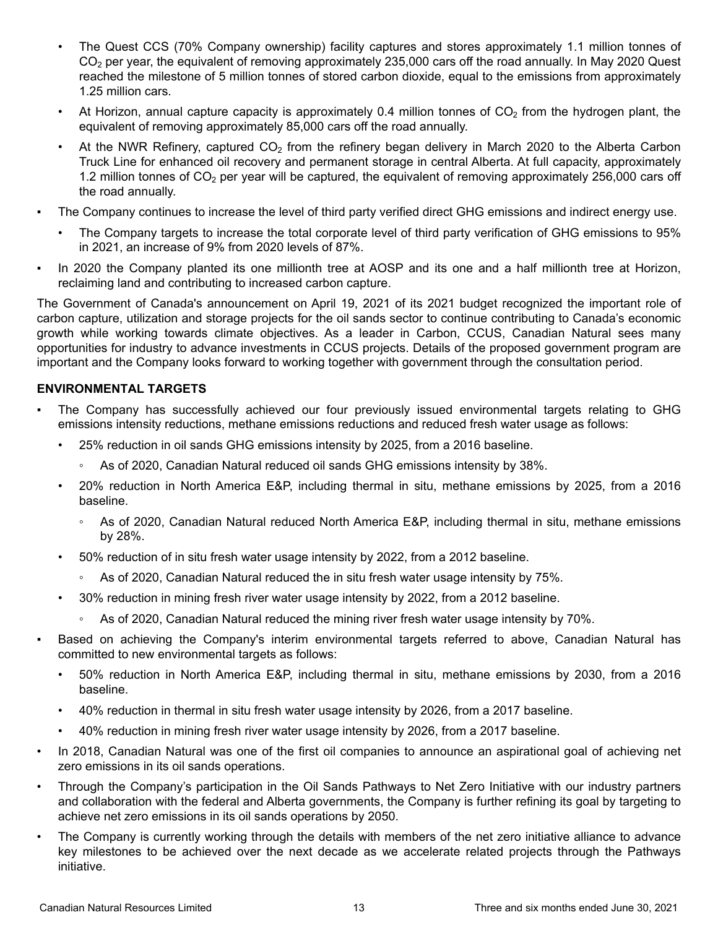- The Quest CCS (70% Company ownership) facility captures and stores approximately 1.1 million tonnes of CO<sub>2</sub> per year, the equivalent of removing approximately 235,000 cars off the road annually. In May 2020 Quest reached the milestone of 5 million tonnes of stored carbon dioxide, equal to the emissions from approximately 1.25 million cars.
- At Horizon, annual capture capacity is approximately 0.4 million tonnes of  $CO<sub>2</sub>$  from the hydrogen plant, the equivalent of removing approximately 85,000 cars off the road annually.
- At the NWR Refinery, captured  $CO<sub>2</sub>$  from the refinery began delivery in March 2020 to the Alberta Carbon Truck Line for enhanced oil recovery and permanent storage in central Alberta. At full capacity, approximately 1.2 million tonnes of  $CO<sub>2</sub>$  per year will be captured, the equivalent of removing approximately 256,000 cars off the road annually.
- The Company continues to increase the level of third party verified direct GHG emissions and indirect energy use.
	- The Company targets to increase the total corporate level of third party verification of GHG emissions to 95% in 2021, an increase of 9% from 2020 levels of 87%.
- In 2020 the Company planted its one millionth tree at AOSP and its one and a half millionth tree at Horizon, reclaiming land and contributing to increased carbon capture.

The Government of Canada's announcement on April 19, 2021 of its 2021 budget recognized the important role of carbon capture, utilization and storage projects for the oil sands sector to continue contributing to Canada's economic growth while working towards climate objectives. As a leader in Carbon, CCUS, Canadian Natural sees many opportunities for industry to advance investments in CCUS projects. Details of the proposed government program are important and the Company looks forward to working together with government through the consultation period.

# **ENVIRONMENTAL TARGETS**

- The Company has successfully achieved our four previously issued environmental targets relating to GHG emissions intensity reductions, methane emissions reductions and reduced fresh water usage as follows:
	- 25% reduction in oil sands GHG emissions intensity by 2025, from a 2016 baseline.
		- As of 2020, Canadian Natural reduced oil sands GHG emissions intensity by 38%.
	- 20% reduction in North America E&P, including thermal in situ, methane emissions by 2025, from a 2016 baseline.
		- As of 2020, Canadian Natural reduced North America E&P, including thermal in situ, methane emissions by 28%.
	- 50% reduction of in situ fresh water usage intensity by 2022, from a 2012 baseline.
		- As of 2020, Canadian Natural reduced the in situ fresh water usage intensity by 75%.
	- 30% reduction in mining fresh river water usage intensity by 2022, from a 2012 baseline.
		- As of 2020, Canadian Natural reduced the mining river fresh water usage intensity by 70%.
- Based on achieving the Company's interim environmental targets referred to above, Canadian Natural has committed to new environmental targets as follows:
	- 50% reduction in North America E&P, including thermal in situ, methane emissions by 2030, from a 2016 baseline.
	- 40% reduction in thermal in situ fresh water usage intensity by 2026, from a 2017 baseline.
	- 40% reduction in mining fresh river water usage intensity by 2026, from a 2017 baseline.
- In 2018, Canadian Natural was one of the first oil companies to announce an aspirational goal of achieving net zero emissions in its oil sands operations.
- Through the Company's participation in the Oil Sands Pathways to Net Zero Initiative with our industry partners and collaboration with the federal and Alberta governments, the Company is further refining its goal by targeting to achieve net zero emissions in its oil sands operations by 2050.
- The Company is currently working through the details with members of the net zero initiative alliance to advance key milestones to be achieved over the next decade as we accelerate related projects through the Pathways initiative.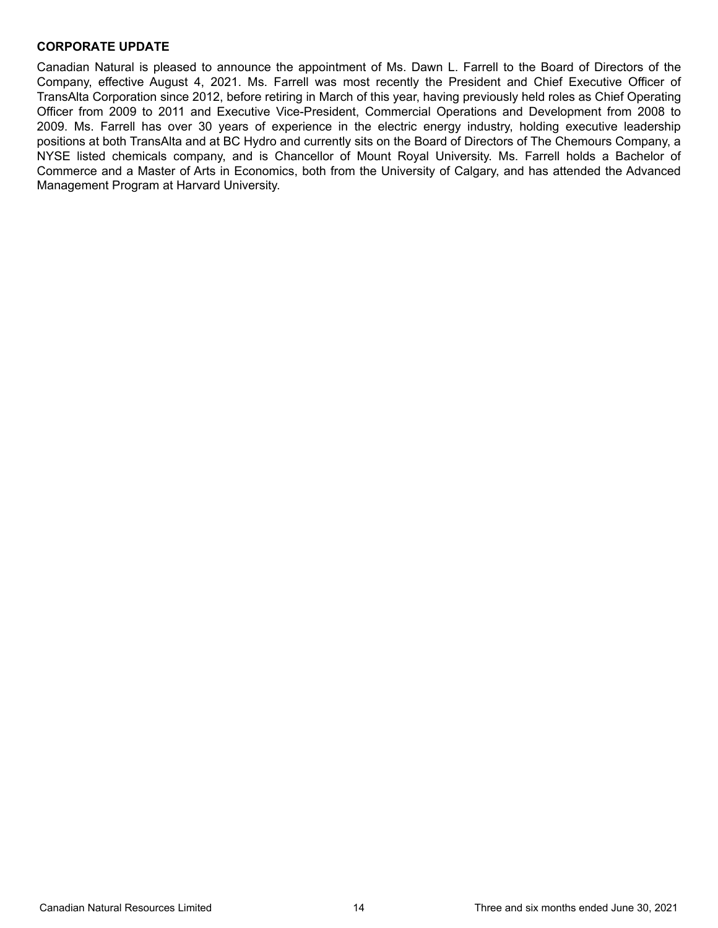### **CORPORATE UPDATE**

Canadian Natural is pleased to announce the appointment of Ms. Dawn L. Farrell to the Board of Directors of the Company, effective August 4, 2021. Ms. Farrell was most recently the President and Chief Executive Officer of TransAlta Corporation since 2012, before retiring in March of this year, having previously held roles as Chief Operating Officer from 2009 to 2011 and Executive Vice-President, Commercial Operations and Development from 2008 to 2009. Ms. Farrell has over 30 years of experience in the electric energy industry, holding executive leadership positions at both TransAlta and at BC Hydro and currently sits on the Board of Directors of The Chemours Company, a NYSE listed chemicals company, and is Chancellor of Mount Royal University. Ms. Farrell holds a Bachelor of Commerce and a Master of Arts in Economics, both from the University of Calgary, and has attended the Advanced Management Program at Harvard University.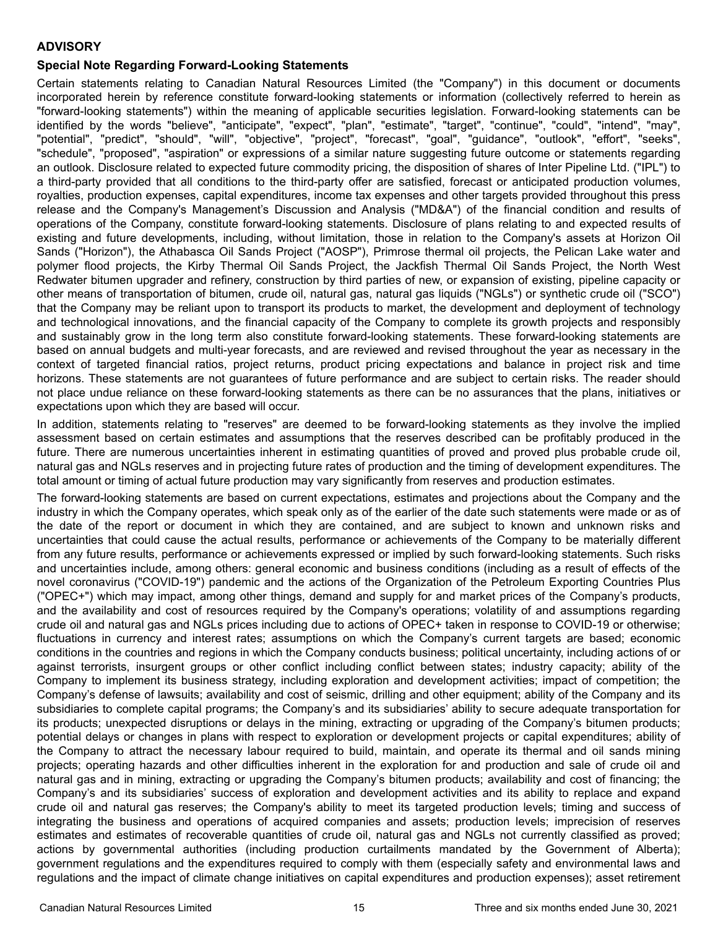## **ADVISORY**

# **Special Note Regarding Forward-Looking Statements**

Certain statements relating to Canadian Natural Resources Limited (the "Company") in this document or documents incorporated herein by reference constitute forward-looking statements or information (collectively referred to herein as "forward-looking statements") within the meaning of applicable securities legislation. Forward-looking statements can be identified by the words "believe", "anticipate", "expect", "plan", "estimate", "target", "continue", "could", "intend", "may", "potential", "predict", "should", "will", "objective", "project", "forecast", "goal", "guidance", "outlook", "effort", "seeks", "schedule", "proposed", "aspiration" or expressions of a similar nature suggesting future outcome or statements regarding an outlook. Disclosure related to expected future commodity pricing, the disposition of shares of Inter Pipeline Ltd. ("IPL") to a third-party provided that all conditions to the third-party offer are satisfied, forecast or anticipated production volumes, royalties, production expenses, capital expenditures, income tax expenses and other targets provided throughout this press release and the Company's Management's Discussion and Analysis ("MD&A") of the financial condition and results of operations of the Company, constitute forward-looking statements. Disclosure of plans relating to and expected results of existing and future developments, including, without limitation, those in relation to the Company's assets at Horizon Oil Sands ("Horizon"), the Athabasca Oil Sands Project ("AOSP"), Primrose thermal oil projects, the Pelican Lake water and polymer flood projects, the Kirby Thermal Oil Sands Project, the Jackfish Thermal Oil Sands Project, the North West Redwater bitumen upgrader and refinery, construction by third parties of new, or expansion of existing, pipeline capacity or other means of transportation of bitumen, crude oil, natural gas, natural gas liquids ("NGLs") or synthetic crude oil ("SCO") that the Company may be reliant upon to transport its products to market, the development and deployment of technology and technological innovations, and the financial capacity of the Company to complete its growth projects and responsibly and sustainably grow in the long term also constitute forward-looking statements. These forward-looking statements are based on annual budgets and multi-year forecasts, and are reviewed and revised throughout the year as necessary in the context of targeted financial ratios, project returns, product pricing expectations and balance in project risk and time horizons. These statements are not guarantees of future performance and are subject to certain risks. The reader should not place undue reliance on these forward-looking statements as there can be no assurances that the plans, initiatives or expectations upon which they are based will occur.

In addition, statements relating to "reserves" are deemed to be forward-looking statements as they involve the implied assessment based on certain estimates and assumptions that the reserves described can be profitably produced in the future. There are numerous uncertainties inherent in estimating quantities of proved and proved plus probable crude oil, natural gas and NGLs reserves and in projecting future rates of production and the timing of development expenditures. The total amount or timing of actual future production may vary significantly from reserves and production estimates.

The forward-looking statements are based on current expectations, estimates and projections about the Company and the industry in which the Company operates, which speak only as of the earlier of the date such statements were made or as of the date of the report or document in which they are contained, and are subject to known and unknown risks and uncertainties that could cause the actual results, performance or achievements of the Company to be materially different from any future results, performance or achievements expressed or implied by such forward-looking statements. Such risks and uncertainties include, among others: general economic and business conditions (including as a result of effects of the novel coronavirus ("COVID-19") pandemic and the actions of the Organization of the Petroleum Exporting Countries Plus ("OPEC+") which may impact, among other things, demand and supply for and market prices of the Company's products, and the availability and cost of resources required by the Company's operations; volatility of and assumptions regarding crude oil and natural gas and NGLs prices including due to actions of OPEC+ taken in response to COVID-19 or otherwise; fluctuations in currency and interest rates; assumptions on which the Company's current targets are based; economic conditions in the countries and regions in which the Company conducts business; political uncertainty, including actions of or against terrorists, insurgent groups or other conflict including conflict between states; industry capacity; ability of the Company to implement its business strategy, including exploration and development activities; impact of competition; the Company's defense of lawsuits; availability and cost of seismic, drilling and other equipment; ability of the Company and its subsidiaries to complete capital programs; the Company's and its subsidiaries' ability to secure adequate transportation for its products; unexpected disruptions or delays in the mining, extracting or upgrading of the Company's bitumen products; potential delays or changes in plans with respect to exploration or development projects or capital expenditures; ability of the Company to attract the necessary labour required to build, maintain, and operate its thermal and oil sands mining projects; operating hazards and other difficulties inherent in the exploration for and production and sale of crude oil and natural gas and in mining, extracting or upgrading the Company's bitumen products; availability and cost of financing; the Company's and its subsidiaries' success of exploration and development activities and its ability to replace and expand crude oil and natural gas reserves; the Company's ability to meet its targeted production levels; timing and success of integrating the business and operations of acquired companies and assets; production levels; imprecision of reserves estimates and estimates of recoverable quantities of crude oil, natural gas and NGLs not currently classified as proved; actions by governmental authorities (including production curtailments mandated by the Government of Alberta); government regulations and the expenditures required to comply with them (especially safety and environmental laws and regulations and the impact of climate change initiatives on capital expenditures and production expenses); asset retirement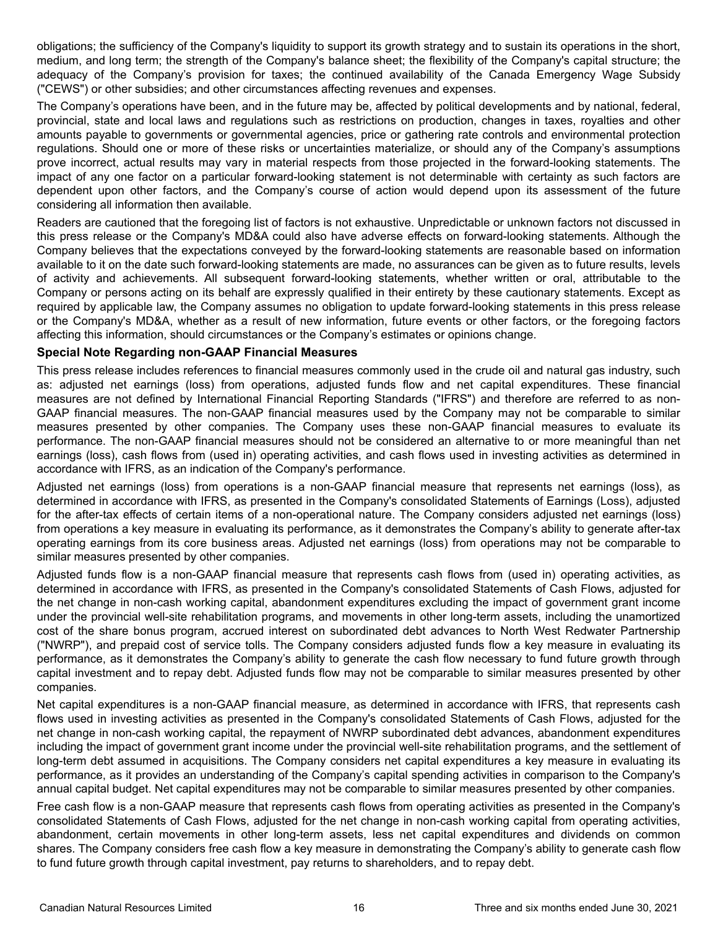obligations; the sufficiency of the Company's liquidity to support its growth strategy and to sustain its operations in the short, medium, and long term; the strength of the Company's balance sheet; the flexibility of the Company's capital structure; the adequacy of the Company's provision for taxes; the continued availability of the Canada Emergency Wage Subsidy ("CEWS") or other subsidies; and other circumstances affecting revenues and expenses.

The Company's operations have been, and in the future may be, affected by political developments and by national, federal, provincial, state and local laws and regulations such as restrictions on production, changes in taxes, royalties and other amounts payable to governments or governmental agencies, price or gathering rate controls and environmental protection regulations. Should one or more of these risks or uncertainties materialize, or should any of the Company's assumptions prove incorrect, actual results may vary in material respects from those projected in the forward-looking statements. The impact of any one factor on a particular forward-looking statement is not determinable with certainty as such factors are dependent upon other factors, and the Company's course of action would depend upon its assessment of the future considering all information then available.

Readers are cautioned that the foregoing list of factors is not exhaustive. Unpredictable or unknown factors not discussed in this press release or the Company's MD&A could also have adverse effects on forward-looking statements. Although the Company believes that the expectations conveyed by the forward-looking statements are reasonable based on information available to it on the date such forward-looking statements are made, no assurances can be given as to future results, levels of activity and achievements. All subsequent forward-looking statements, whether written or oral, attributable to the Company or persons acting on its behalf are expressly qualified in their entirety by these cautionary statements. Except as required by applicable law, the Company assumes no obligation to update forward-looking statements in this press release or the Company's MD&A, whether as a result of new information, future events or other factors, or the foregoing factors affecting this information, should circumstances or the Company's estimates or opinions change.

### **Special Note Regarding non-GAAP Financial Measures**

This press release includes references to financial measures commonly used in the crude oil and natural gas industry, such as: adjusted net earnings (loss) from operations, adjusted funds flow and net capital expenditures. These financial measures are not defined by International Financial Reporting Standards ("IFRS") and therefore are referred to as non-GAAP financial measures. The non-GAAP financial measures used by the Company may not be comparable to similar measures presented by other companies. The Company uses these non-GAAP financial measures to evaluate its performance. The non-GAAP financial measures should not be considered an alternative to or more meaningful than net earnings (loss), cash flows from (used in) operating activities, and cash flows used in investing activities as determined in accordance with IFRS, as an indication of the Company's performance.

Adjusted net earnings (loss) from operations is a non-GAAP financial measure that represents net earnings (loss), as determined in accordance with IFRS, as presented in the Company's consolidated Statements of Earnings (Loss), adjusted for the after-tax effects of certain items of a non-operational nature. The Company considers adjusted net earnings (loss) from operations a key measure in evaluating its performance, as it demonstrates the Company's ability to generate after-tax operating earnings from its core business areas. Adjusted net earnings (loss) from operations may not be comparable to similar measures presented by other companies.

Adjusted funds flow is a non-GAAP financial measure that represents cash flows from (used in) operating activities, as determined in accordance with IFRS, as presented in the Company's consolidated Statements of Cash Flows, adjusted for the net change in non-cash working capital, abandonment expenditures excluding the impact of government grant income under the provincial well-site rehabilitation programs, and movements in other long-term assets, including the unamortized cost of the share bonus program, accrued interest on subordinated debt advances to North West Redwater Partnership ("NWRP"), and prepaid cost of service tolls. The Company considers adjusted funds flow a key measure in evaluating its performance, as it demonstrates the Company's ability to generate the cash flow necessary to fund future growth through capital investment and to repay debt. Adjusted funds flow may not be comparable to similar measures presented by other companies.

Net capital expenditures is a non-GAAP financial measure, as determined in accordance with IFRS, that represents cash flows used in investing activities as presented in the Company's consolidated Statements of Cash Flows, adjusted for the net change in non-cash working capital, the repayment of NWRP subordinated debt advances, abandonment expenditures including the impact of government grant income under the provincial well-site rehabilitation programs, and the settlement of long-term debt assumed in acquisitions. The Company considers net capital expenditures a key measure in evaluating its performance, as it provides an understanding of the Company's capital spending activities in comparison to the Company's annual capital budget. Net capital expenditures may not be comparable to similar measures presented by other companies.

Free cash flow is a non-GAAP measure that represents cash flows from operating activities as presented in the Company's consolidated Statements of Cash Flows, adjusted for the net change in non-cash working capital from operating activities, abandonment, certain movements in other long-term assets, less net capital expenditures and dividends on common shares. The Company considers free cash flow a key measure in demonstrating the Company's ability to generate cash flow to fund future growth through capital investment, pay returns to shareholders, and to repay debt.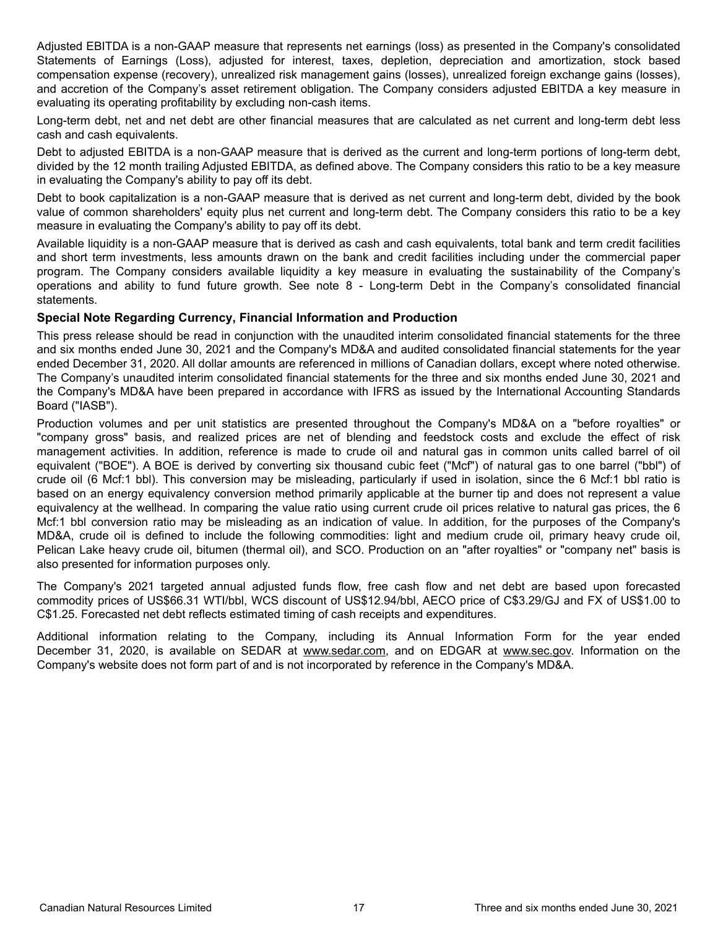Adjusted EBITDA is a non-GAAP measure that represents net earnings (loss) as presented in the Company's consolidated Statements of Earnings (Loss), adjusted for interest, taxes, depletion, depreciation and amortization, stock based compensation expense (recovery), unrealized risk management gains (losses), unrealized foreign exchange gains (losses), and accretion of the Company's asset retirement obligation. The Company considers adjusted EBITDA a key measure in evaluating its operating profitability by excluding non-cash items.

Long-term debt, net and net debt are other financial measures that are calculated as net current and long-term debt less cash and cash equivalents.

Debt to adjusted EBITDA is a non-GAAP measure that is derived as the current and long-term portions of long-term debt, divided by the 12 month trailing Adjusted EBITDA, as defined above. The Company considers this ratio to be a key measure in evaluating the Company's ability to pay off its debt.

Debt to book capitalization is a non-GAAP measure that is derived as net current and long-term debt, divided by the book value of common shareholders' equity plus net current and long-term debt. The Company considers this ratio to be a key measure in evaluating the Company's ability to pay off its debt.

Available liquidity is a non-GAAP measure that is derived as cash and cash equivalents, total bank and term credit facilities and short term investments, less amounts drawn on the bank and credit facilities including under the commercial paper program. The Company considers available liquidity a key measure in evaluating the sustainability of the Company's operations and ability to fund future growth. See note 8 - Long-term Debt in the Company's consolidated financial statements.

### **Special Note Regarding Currency, Financial Information and Production**

This press release should be read in conjunction with the unaudited interim consolidated financial statements for the three and six months ended June 30, 2021 and the Company's MD&A and audited consolidated financial statements for the year ended December 31, 2020. All dollar amounts are referenced in millions of Canadian dollars, except where noted otherwise. The Company's unaudited interim consolidated financial statements for the three and six months ended June 30, 2021 and the Company's MD&A have been prepared in accordance with IFRS as issued by the International Accounting Standards Board ("IASB").

Production volumes and per unit statistics are presented throughout the Company's MD&A on a "before royalties" or "company gross" basis, and realized prices are net of blending and feedstock costs and exclude the effect of risk management activities. In addition, reference is made to crude oil and natural gas in common units called barrel of oil equivalent ("BOE"). A BOE is derived by converting six thousand cubic feet ("Mcf") of natural gas to one barrel ("bbl") of crude oil (6 Mcf:1 bbl). This conversion may be misleading, particularly if used in isolation, since the 6 Mcf:1 bbl ratio is based on an energy equivalency conversion method primarily applicable at the burner tip and does not represent a value equivalency at the wellhead. In comparing the value ratio using current crude oil prices relative to natural gas prices, the 6 Mcf:1 bbl conversion ratio may be misleading as an indication of value. In addition, for the purposes of the Company's MD&A, crude oil is defined to include the following commodities: light and medium crude oil, primary heavy crude oil, Pelican Lake heavy crude oil, bitumen (thermal oil), and SCO. Production on an "after royalties" or "company net" basis is also presented for information purposes only.

The Company's 2021 targeted annual adjusted funds flow, free cash flow and net debt are based upon forecasted commodity prices of US\$66.31 WTI/bbl, WCS discount of US\$12.94/bbl, AECO price of C\$3.29/GJ and FX of US\$1.00 to C\$1.25. Forecasted net debt reflects estimated timing of cash receipts and expenditures.

Additional information relating to the Company, including its Annual Information Form for the year ended December 31, 2020, is available on SEDAR at www.sedar.com, and on EDGAR at www.sec.gov. Information on the Company's website does not form part of and is not incorporated by reference in the Company's MD&A.